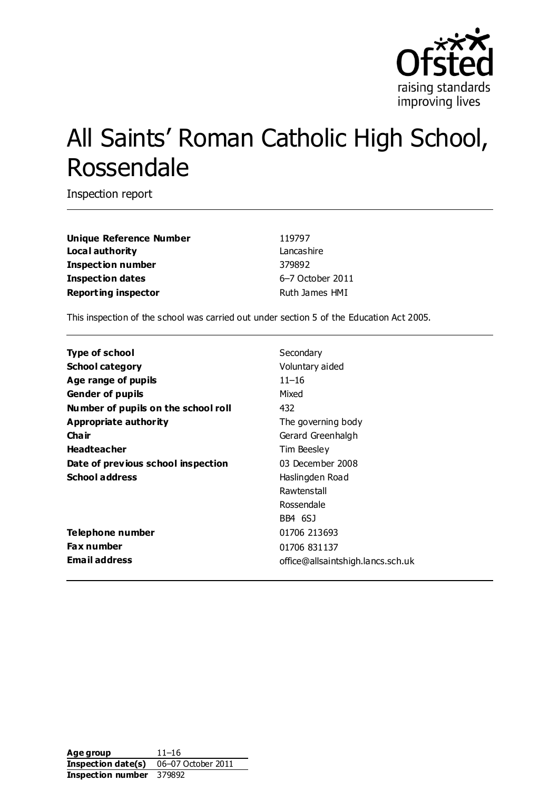

# All Saints' Roman Catholic High School, Rossendale

Inspection report

**Unique Reference Number** 119797 **Local authority** Lancashire **Inspection number** 379892 **Inspection dates** 6–7 October 2011 **Reporting inspector Ruth James HMI** 

This inspection of the school was carried out under section 5 of the Education Act 2005.

| <b>Type of school</b>               | Secondary                         |
|-------------------------------------|-----------------------------------|
| <b>School category</b>              | Voluntary aided                   |
| Age range of pupils                 | $11 - 16$                         |
| <b>Gender of pupils</b>             | Mixed                             |
| Number of pupils on the school roll | 432                               |
| Appropriate authority               | The governing body                |
| Cha ir                              | Gerard Greenhalgh                 |
| <b>Headteacher</b>                  | Tim Beesley                       |
| Date of previous school inspection  | 03 December 2008                  |
| <b>School address</b>               | Haslingden Road                   |
|                                     | Rawtenstall                       |
|                                     | Rossendale                        |
|                                     | BB4 6SJ                           |
| Telephone number                    | 01706 213693                      |
| <b>Fax number</b>                   | 01706 831137                      |
| <b>Email address</b>                | office@allsaintshigh.lancs.sch.uk |

**Age group** 11–16 **Inspection date(s)** 06-07 October 2011 **Inspection number** 379892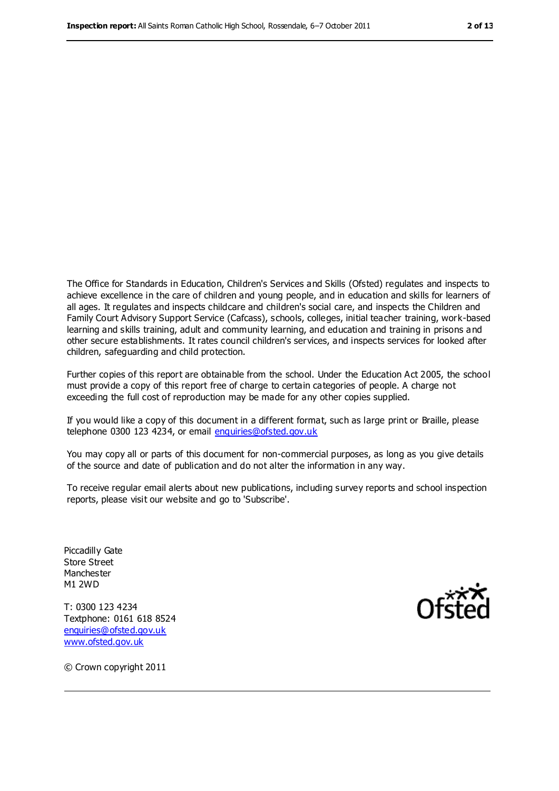The Office for Standards in Education, Children's Services and Skills (Ofsted) regulates and inspects to achieve excellence in the care of children and young people, and in education and skills for learners of all ages. It regulates and inspects childcare and children's social care, and inspects the Children and Family Court Advisory Support Service (Cafcass), schools, colleges, initial teacher training, work-based learning and skills training, adult and community learning, and education and training in prisons and other secure establishments. It rates council children's services, and inspects services for looked after children, safeguarding and child protection.

Further copies of this report are obtainable from the school. Under the Education Act 2005, the school must provide a copy of this report free of charge to certain categories of people. A charge not exceeding the full cost of reproduction may be made for any other copies supplied.

If you would like a copy of this document in a different format, such as large print or Braille, please telephone 0300 123 4234, or email [enquiries@ofsted.gov.uk](mailto:enquiries@ofsted.gov.uk)

You may copy all or parts of this document for non-commercial purposes, as long as you give details of the source and date of publication and do not alter the information in any way.

To receive regular email alerts about new publications, including survey reports and school inspection reports, please visit our website and go to 'Subscribe'.

Piccadilly Gate Store Street Manchester M1 2WD

T: 0300 123 4234 Textphone: 0161 618 8524 [enquiries@ofsted.gov.uk](mailto:enquiries@ofsted.gov.uk) [www.ofsted.gov.uk](http://www.ofsted.gov.uk/)



© Crown copyright 2011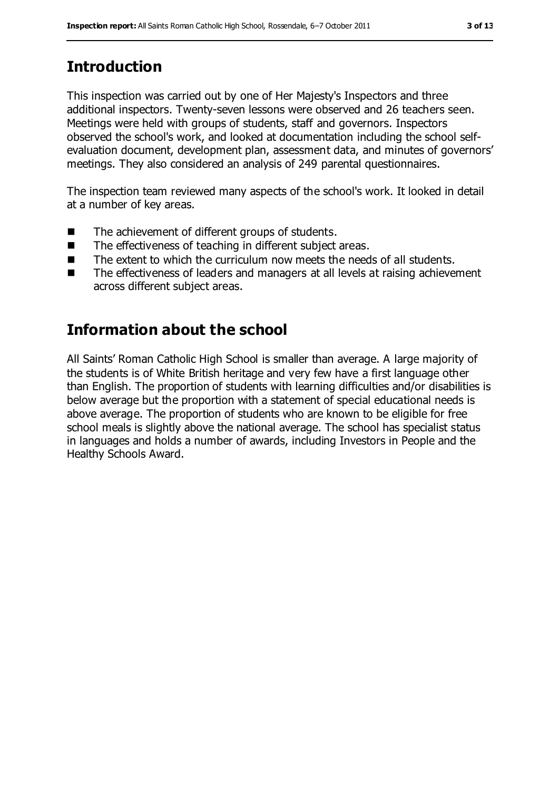# **Introduction**

This inspection was carried out by one of Her Majesty's Inspectors and three additional inspectors. Twenty-seven lessons were observed and 26 teachers seen. Meetings were held with groups of students, staff and governors. Inspectors observed the school's work, and looked at documentation including the school selfevaluation document, development plan, assessment data, and minutes of governors' meetings. They also considered an analysis of 249 parental questionnaires.

The inspection team reviewed many aspects of the school's work. It looked in detail at a number of key areas.

- The achievement of different groups of students.
- The effectiveness of teaching in different subject areas.
- The extent to which the curriculum now meets the needs of all students.
- The effectiveness of leaders and managers at all levels at raising achievement across different subject areas.

## **Information about the school**

All Saints' Roman Catholic High School is smaller than average. A large majority of the students is of White British heritage and very few have a first language other than English. The proportion of students with learning difficulties and/or disabilities is below average but the proportion with a statement of special educational needs is above average. The proportion of students who are known to be eligible for free school meals is slightly above the national average. The school has specialist status in languages and holds a number of awards, including Investors in People and the Healthy Schools Award.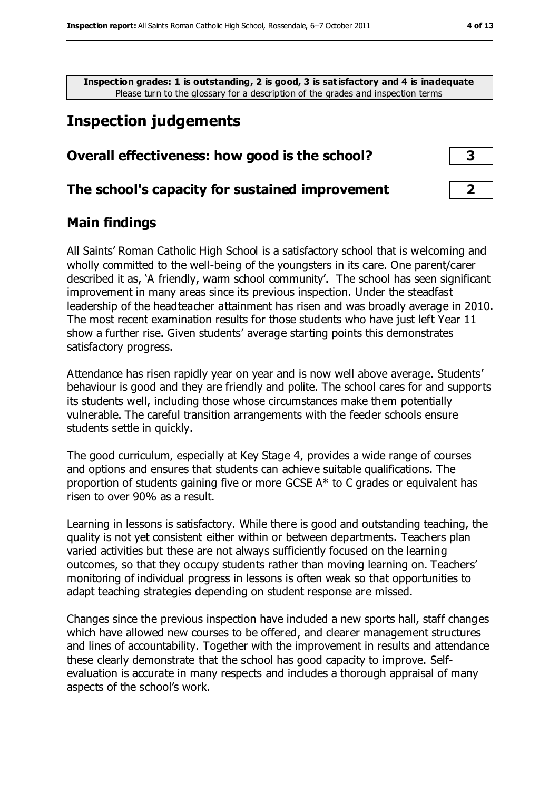**Inspection grades: 1 is outstanding, 2 is good, 3 is satisfactory and 4 is inadequate** Please turn to the glossary for a description of the grades and inspection terms

## **Inspection judgements**

#### **Overall effectiveness: how good is the school? 3**

#### **The school's capacity for sustained improvement 2**

#### **Main findings**

All Saints' Roman Catholic High School is a satisfactory school that is welcoming and wholly committed to the well-being of the youngsters in its care. One parent/carer described it as, 'A friendly, warm school community'. The school has seen significant improvement in many areas since its previous inspection. Under the steadfast leadership of the headteacher attainment has risen and was broadly average in 2010. The most recent examination results for those students who have just left Year 11 show a further rise. Given students' average starting points this demonstrates satisfactory progress.

Attendance has risen rapidly year on year and is now well above average. Students' behaviour is good and they are friendly and polite. The school cares for and supports its students well, including those whose circumstances make them potentially vulnerable. The careful transition arrangements with the feeder schools ensure students settle in quickly.

The good curriculum, especially at Key Stage 4, provides a wide range of courses and options and ensures that students can achieve suitable qualifications. The proportion of students gaining five or more GCSE A\* to C grades or equivalent has risen to over 90% as a result.

Learning in lessons is satisfactory. While there is good and outstanding teaching, the quality is not yet consistent either within or between departments. Teachers plan varied activities but these are not always sufficiently focused on the learning outcomes, so that they occupy students rather than moving learning on. Teachers' monitoring of individual progress in lessons is often weak so that opportunities to adapt teaching strategies depending on student response are missed.

Changes since the previous inspection have included a new sports hall, staff changes which have allowed new courses to be offered, and clearer management structures and lines of accountability. Together with the improvement in results and attendance these clearly demonstrate that the school has good capacity to improve. Selfevaluation is accurate in many respects and includes a thorough appraisal of many aspects of the school's work.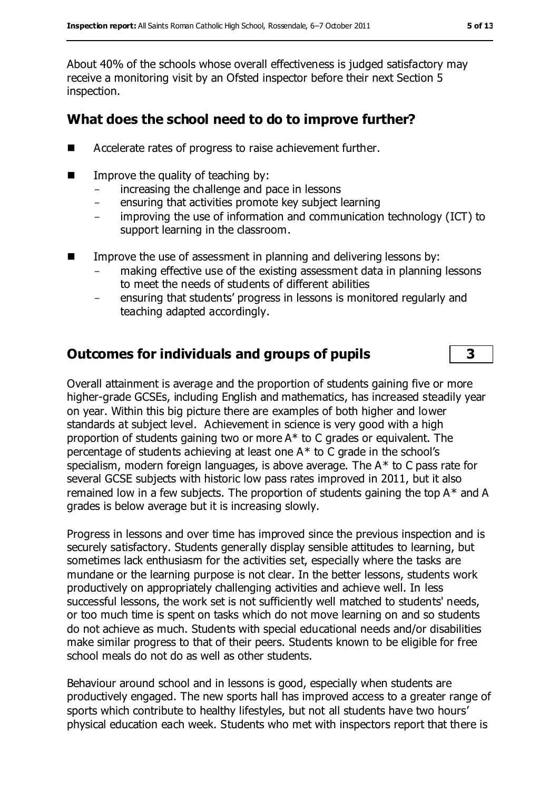About 40% of the schools whose overall effectiveness is judged satisfactory may receive a monitoring visit by an Ofsted inspector before their next Section 5 inspection.

#### **What does the school need to do to improve further?**

- Accelerate rates of progress to raise achievement further.
- $\blacksquare$  Improve the quality of teaching by:
	- increasing the challenge and pace in lessons
	- ensuring that activities promote key subject learning
	- improving the use of information and communication technology (ICT) to support learning in the classroom.
- **IMPROVE THE USE OF ASSESSMENT IN PLANNIFY AND MEATLEM INCOCOLLY INCOCOLLY INCOCOLLY INCOCOLLY INCOCOLLY INCOCOLLY INCOCOLLY INCOCOLLY INCOCOLLY INCOCOLLY INCOCOLLY INCOCOLLY INCOCOLLY INCOCOLLY INCOCOLLY INCOCOLLY INCOCOL** 
	- making effective use of the existing assessment data in planning lessons to meet the needs of students of different abilities
	- ensuring that students' progress in lessons is monitored regularly and teaching adapted accordingly.

#### **Outcomes for individuals and groups of pupils 3**

Overall attainment is average and the proportion of students gaining five or more higher-grade GCSEs, including English and mathematics, has increased steadily year on year. Within this big picture there are examples of both higher and lower standards at subject level. Achievement in science is very good with a high proportion of students gaining two or more A\* to C grades or equivalent. The percentage of students achieving at least one A\* to C grade in the school's specialism, modern foreign languages, is above average. The A\* to C pass rate for several GCSE subjects with historic low pass rates improved in 2011, but it also remained low in a few subjects. The proportion of students gaining the top  $A^*$  and A grades is below average but it is increasing slowly.

Progress in lessons and over time has improved since the previous inspection and is securely satisfactory. Students generally display sensible attitudes to learning, but sometimes lack enthusiasm for the activities set, especially where the tasks are mundane or the learning purpose is not clear. In the better lessons, students work productively on appropriately challenging activities and achieve well. In less successful lessons, the work set is not sufficiently well matched to students' needs, or too much time is spent on tasks which do not move learning on and so students do not achieve as much. Students with special educational needs and/or disabilities make similar progress to that of their peers. Students known to be eligible for free school meals do not do as well as other students.

Behaviour around school and in lessons is good, especially when students are productively engaged. The new sports hall has improved access to a greater range of sports which contribute to healthy lifestyles, but not all students have two hours' physical education each week. Students who met with inspectors report that there is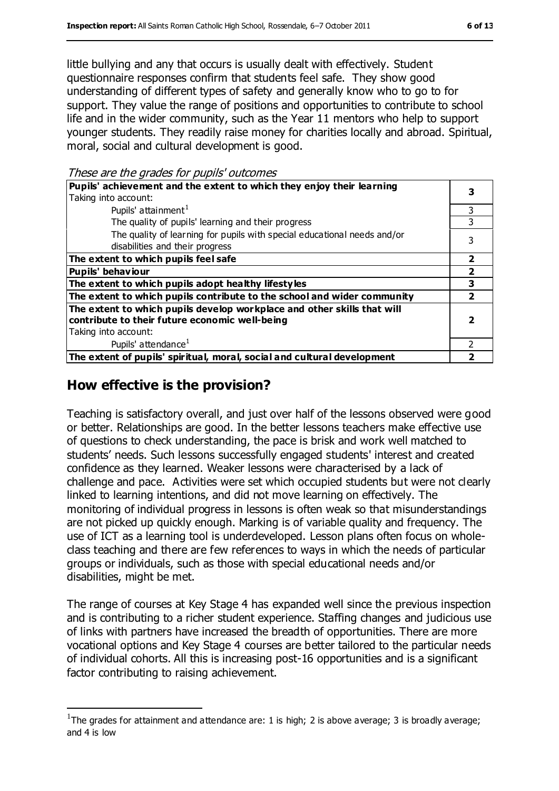little bullying and any that occurs is usually dealt with effectively. Student questionnaire responses confirm that students feel safe. They show good understanding of different types of safety and generally know who to go to for support. They value the range of positions and opportunities to contribute to school life and in the wider community, such as the Year 11 mentors who help to support younger students. They readily raise money for charities locally and abroad. Spiritual, moral, social and cultural development is good.

These are the grades for pupils' outcomes

| Pupils' achievement and the extent to which they enjoy their learning                                       |   |  |
|-------------------------------------------------------------------------------------------------------------|---|--|
| Taking into account:                                                                                        |   |  |
| Pupils' attainment <sup>1</sup>                                                                             | 3 |  |
| The quality of pupils' learning and their progress                                                          |   |  |
| The quality of learning for pupils with special educational needs and/or<br>disabilities and their progress |   |  |
| The extent to which pupils feel safe                                                                        | 2 |  |
| <b>Pupils' behaviour</b>                                                                                    |   |  |
| The extent to which pupils adopt healthy lifestyles                                                         | З |  |
| The extent to which pupils contribute to the school and wider community                                     |   |  |
| The extent to which pupils develop workplace and other skills that will                                     |   |  |
| contribute to their future economic well-being                                                              |   |  |
| Taking into account:                                                                                        |   |  |
| Pupils' attendance <sup>1</sup>                                                                             |   |  |
| The extent of pupils' spiritual, moral, social and cultural development                                     |   |  |

#### **How effective is the provision?**

 $\overline{a}$ 

Teaching is satisfactory overall, and just over half of the lessons observed were good or better. Relationships are good. In the better lessons teachers make effective use of questions to check understanding, the pace is brisk and work well matched to students' needs. Such lessons successfully engaged students' interest and created confidence as they learned. Weaker lessons were characterised by a lack of challenge and pace. Activities were set which occupied students but were not clearly linked to learning intentions, and did not move learning on effectively. The monitoring of individual progress in lessons is often weak so that misunderstandings are not picked up quickly enough. Marking is of variable quality and frequency. The use of ICT as a learning tool is underdeveloped. Lesson plans often focus on wholeclass teaching and there are few references to ways in which the needs of particular groups or individuals, such as those with special educational needs and/or disabilities, might be met.

The range of courses at Key Stage 4 has expanded well since the previous inspection and is contributing to a richer student experience. Staffing changes and judicious use of links with partners have increased the breadth of opportunities. There are more vocational options and Key Stage 4 courses are better tailored to the particular needs of individual cohorts. All this is increasing post-16 opportunities and is a significant factor contributing to raising achievement.

<sup>&</sup>lt;sup>1</sup>The grades for attainment and attendance are: 1 is high; 2 is above average; 3 is broadly average; and 4 is low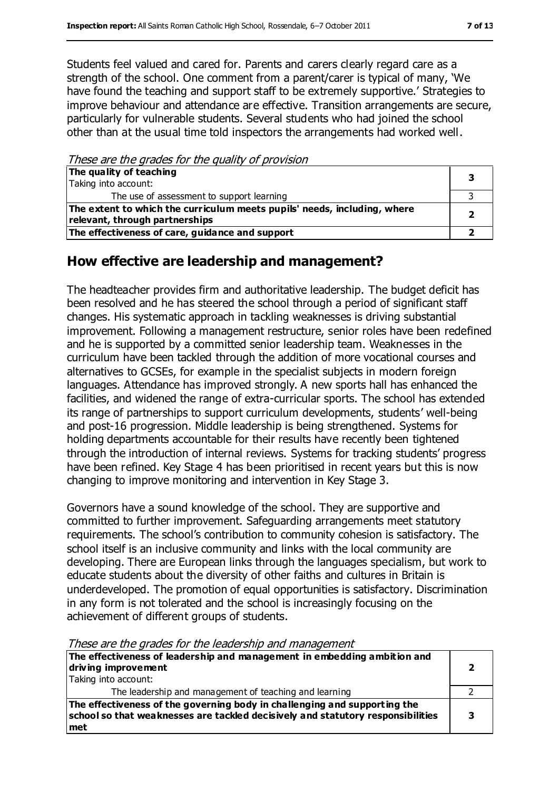Students feel valued and cared for. Parents and carers clearly regard care as a strength of the school. One comment from a parent/carer is typical of many, 'We have found the teaching and support staff to be extremely supportive.' Strategies to improve behaviour and attendance are effective. Transition arrangements are secure, particularly for vulnerable students. Several students who had joined the school other than at the usual time told inspectors the arrangements had worked well.

These are the grades for the quality of provision

| The quality of teaching<br>Taking into account:                                                            |  |
|------------------------------------------------------------------------------------------------------------|--|
| The use of assessment to support learning                                                                  |  |
| The extent to which the curriculum meets pupils' needs, including, where<br>relevant, through partnerships |  |
| The effectiveness of care, guidance and support                                                            |  |

### **How effective are leadership and management?**

The headteacher provides firm and authoritative leadership. The budget deficit has been resolved and he has steered the school through a period of significant staff changes. His systematic approach in tackling weaknesses is driving substantial improvement. Following a management restructure, senior roles have been redefined and he is supported by a committed senior leadership team. Weaknesses in the curriculum have been tackled through the addition of more vocational courses and alternatives to GCSEs, for example in the specialist subjects in modern foreign languages. Attendance has improved strongly. A new sports hall has enhanced the facilities, and widened the range of extra-curricular sports. The school has extended its range of partnerships to support curriculum developments, students' well-being and post-16 progression. Middle leadership is being strengthened. Systems for holding departments accountable for their results have recently been tightened through the introduction of internal reviews. Systems for tracking students' progress have been refined. Key Stage 4 has been prioritised in recent years but this is now changing to improve monitoring and intervention in Key Stage 3.

Governors have a sound knowledge of the school. They are supportive and committed to further improvement. Safeguarding arrangements meet statutory requirements. The school's contribution to community cohesion is satisfactory. The school itself is an inclusive community and links with the local community are developing. There are European links through the languages specialism, but work to educate students about the diversity of other faiths and cultures in Britain is underdeveloped. The promotion of equal opportunities is satisfactory. Discrimination in any form is not tolerated and the school is increasingly focusing on the achievement of different groups of students.

**The effectiveness of leadership and management in embedding ambition and driving improvement** Taking into account: **2** The leadership and management of teaching and learning 2 **The effectiveness of the governing body in challenging and supporting the school so that weaknesses are tackled decisively and statutory responsibilities met 3**

These are the grades for the leadership and management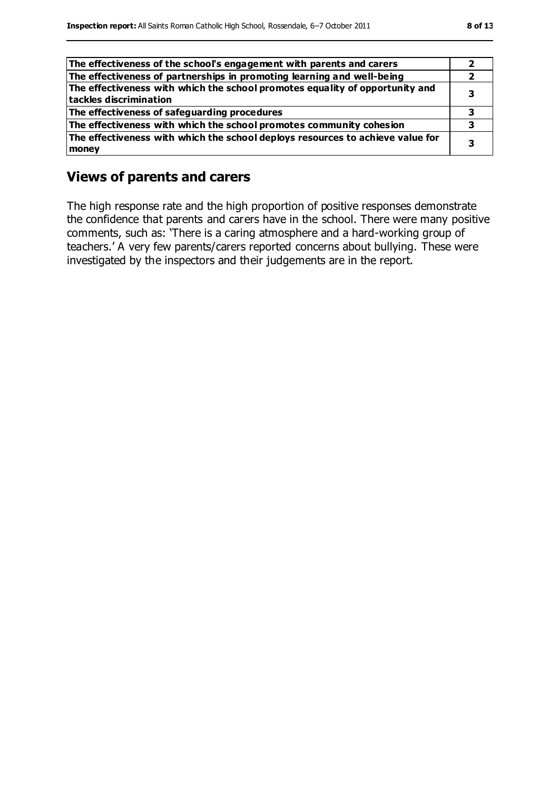| The effectiveness of the school's engagement with parents and carers                                   |  |
|--------------------------------------------------------------------------------------------------------|--|
| The effectiveness of partnerships in promoting learning and well-being                                 |  |
| The effectiveness with which the school promotes equality of opportunity and<br>tackles discrimination |  |
| The effectiveness of safeguarding procedures                                                           |  |
| The effectiveness with which the school promotes community cohesion                                    |  |
| The effectiveness with which the school deploys resources to achieve value for<br>money                |  |

#### **Views of parents and carers**

The high response rate and the high proportion of positive responses demonstrate the confidence that parents and carers have in the school. There were many positive comments, such as: 'There is a caring atmosphere and a hard-working group of teachers.' A very few parents/carers reported concerns about bullying. These were investigated by the inspectors and their judgements are in the report.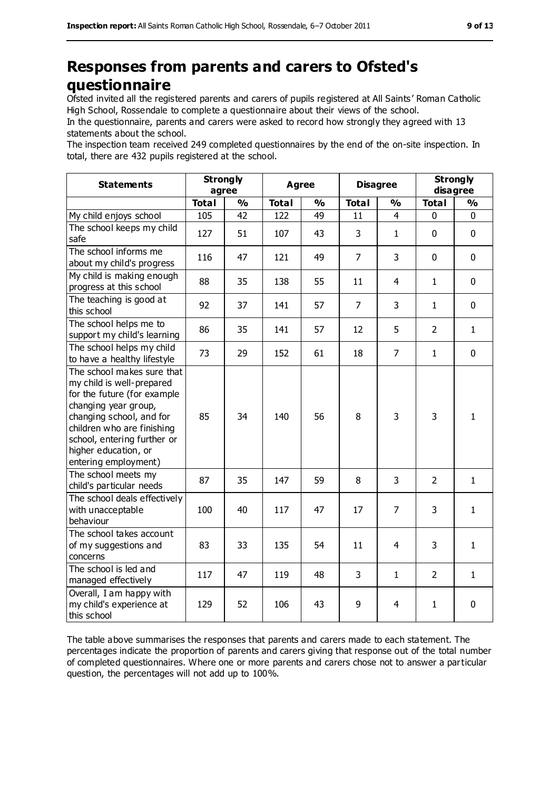## **Responses from parents and carers to Ofsted's questionnaire**

Ofsted invited all the registered parents and carers of pupils registered at All Saints' Roman Catholic High School, Rossendale to complete a questionnaire about their views of the school.

In the questionnaire, parents and carers were asked to record how strongly they agreed with 13 statements about the school.

The inspection team received 249 completed questionnaires by the end of the on-site inspection. In total, there are 432 pupils registered at the school.

| <b>Statements</b>                                                                                                                                                                                                                                       | <b>Strongly</b><br>agree |               | <b>Agree</b> |               | <b>Disagree</b> |                | <b>Strongly</b><br>disagree |               |
|---------------------------------------------------------------------------------------------------------------------------------------------------------------------------------------------------------------------------------------------------------|--------------------------|---------------|--------------|---------------|-----------------|----------------|-----------------------------|---------------|
|                                                                                                                                                                                                                                                         | <b>Total</b>             | $\frac{1}{2}$ | <b>Total</b> | $\frac{1}{2}$ | <b>Total</b>    | $\frac{0}{0}$  | <b>Total</b>                | $\frac{0}{0}$ |
| My child enjoys school                                                                                                                                                                                                                                  | 105                      | 42            | 122          | 49            | 11              | $\overline{4}$ | 0                           | $\mathbf 0$   |
| The school keeps my child<br>safe                                                                                                                                                                                                                       | 127                      | 51            | 107          | 43            | 3               | $\mathbf{1}$   | $\mathbf 0$                 | $\mathbf 0$   |
| The school informs me<br>about my child's progress                                                                                                                                                                                                      | 116                      | 47            | 121          | 49            | $\overline{7}$  | 3              | $\mathbf 0$                 | $\mathbf 0$   |
| My child is making enough<br>progress at this school                                                                                                                                                                                                    | 88                       | 35            | 138          | 55            | 11              | $\overline{4}$ | $\mathbf{1}$                | $\mathbf 0$   |
| The teaching is good at<br>this school                                                                                                                                                                                                                  | 92                       | 37            | 141          | 57            | $\overline{7}$  | 3              | $\mathbf{1}$                | $\mathbf 0$   |
| The school helps me to<br>support my child's learning                                                                                                                                                                                                   | 86                       | 35            | 141          | 57            | 12              | 5              | $\overline{2}$              | $\mathbf{1}$  |
| The school helps my child<br>to have a healthy lifestyle                                                                                                                                                                                                | 73                       | 29            | 152          | 61            | 18              | $\overline{7}$ | $\mathbf{1}$                | $\mathbf 0$   |
| The school makes sure that<br>my child is well-prepared<br>for the future (for example<br>changing year group,<br>changing school, and for<br>children who are finishing<br>school, entering further or<br>higher education, or<br>entering employment) | 85                       | 34            | 140          | 56            | 8               | 3              | 3                           | $\mathbf{1}$  |
| The school meets my<br>child's particular needs                                                                                                                                                                                                         | 87                       | 35            | 147          | 59            | 8               | 3              | $\overline{2}$              | $\mathbf{1}$  |
| The school deals effectively<br>with unacceptable<br>behaviour                                                                                                                                                                                          | 100                      | 40            | 117          | 47            | 17              | $\overline{7}$ | 3                           | $\mathbf{1}$  |
| The school takes account<br>of my suggestions and<br>concerns                                                                                                                                                                                           | 83                       | 33            | 135          | 54            | 11              | $\overline{4}$ | 3                           | $\mathbf{1}$  |
| The school is led and<br>managed effectively                                                                                                                                                                                                            | 117                      | 47            | 119          | 48            | 3               | $\mathbf{1}$   | $\overline{2}$              | $\mathbf{1}$  |
| Overall, I am happy with<br>my child's experience at<br>this school                                                                                                                                                                                     | 129                      | 52            | 106          | 43            | 9               | $\overline{4}$ | $\mathbf{1}$                | $\pmb{0}$     |

The table above summarises the responses that parents and carers made to each statement. The percentages indicate the proportion of parents and carers giving that response out of the total number of completed questionnaires. Where one or more parents and carers chose not to answer a particular question, the percentages will not add up to 100%.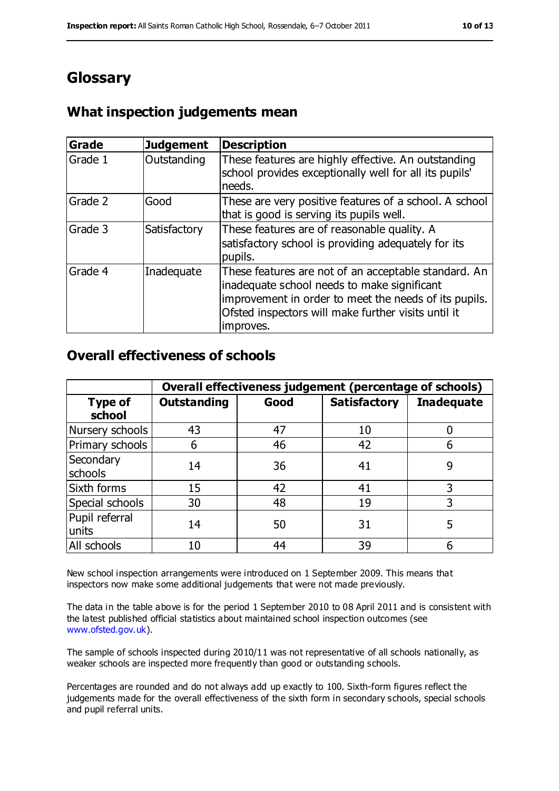## **Glossary**

## **What inspection judgements mean**

| Grade   | <b>Judgement</b> | <b>Description</b>                                                                                                                                                                                                               |
|---------|------------------|----------------------------------------------------------------------------------------------------------------------------------------------------------------------------------------------------------------------------------|
| Grade 1 | Outstanding      | These features are highly effective. An outstanding<br>school provides exceptionally well for all its pupils'<br>needs.                                                                                                          |
| Grade 2 | Good             | These are very positive features of a school. A school<br>that is good is serving its pupils well.                                                                                                                               |
| Grade 3 | Satisfactory     | These features are of reasonable quality. A<br>satisfactory school is providing adequately for its<br>pupils.                                                                                                                    |
| Grade 4 | Inadequate       | These features are not of an acceptable standard. An<br>inadequate school needs to make significant<br>improvement in order to meet the needs of its pupils.<br>Ofsted inspectors will make further visits until it<br>improves. |

#### **Overall effectiveness of schools**

|                         | Overall effectiveness judgement (percentage of schools) |      |                     |                   |
|-------------------------|---------------------------------------------------------|------|---------------------|-------------------|
| Type of<br>school       | <b>Outstanding</b>                                      | Good | <b>Satisfactory</b> | <b>Inadequate</b> |
| Nursery schools         | 43                                                      | 47   | 10                  |                   |
| Primary schools         | 6                                                       | 46   | 42                  |                   |
| Secondary<br>schools    | 14                                                      | 36   | 41                  | 9                 |
| Sixth forms             | 15                                                      | 42   | 41                  | 3                 |
| Special schools         | 30                                                      | 48   | 19                  | 3                 |
| Pupil referral<br>units | 14                                                      | 50   | 31                  | 5                 |
| All schools             | 10                                                      | 44   | 39                  |                   |

New school inspection arrangements were introduced on 1 September 2009. This means that inspectors now make some additional judgements that were not made previously.

The data in the table above is for the period 1 September 2010 to 08 April 2011 and is consistent with the latest published official statistics about maintained school inspection outcomes (see [www.ofsted.gov.uk\)](http://www.ofsted.gov.uk/).

The sample of schools inspected during 2010/11 was not representative of all schools nationally, as weaker schools are inspected more frequently than good or outstanding schools.

Percentages are rounded and do not always add up exactly to 100. Sixth-form figures reflect the judgements made for the overall effectiveness of the sixth form in secondary schools, special schools and pupil referral units.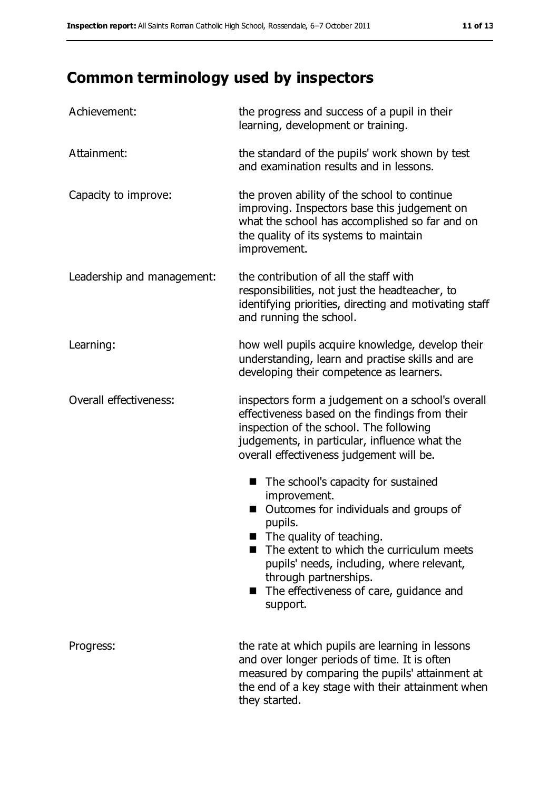# **Common terminology used by inspectors**

| Achievement:               | the progress and success of a pupil in their<br>learning, development or training.                                                                                                                                                                                                                                                     |
|----------------------------|----------------------------------------------------------------------------------------------------------------------------------------------------------------------------------------------------------------------------------------------------------------------------------------------------------------------------------------|
| Attainment:                | the standard of the pupils' work shown by test<br>and examination results and in lessons.                                                                                                                                                                                                                                              |
| Capacity to improve:       | the proven ability of the school to continue<br>improving. Inspectors base this judgement on<br>what the school has accomplished so far and on<br>the quality of its systems to maintain<br>improvement.                                                                                                                               |
| Leadership and management: | the contribution of all the staff with<br>responsibilities, not just the headteacher, to<br>identifying priorities, directing and motivating staff<br>and running the school.                                                                                                                                                          |
| Learning:                  | how well pupils acquire knowledge, develop their<br>understanding, learn and practise skills and are<br>developing their competence as learners.                                                                                                                                                                                       |
| Overall effectiveness:     | inspectors form a judgement on a school's overall<br>effectiveness based on the findings from their<br>inspection of the school. The following<br>judgements, in particular, influence what the<br>overall effectiveness judgement will be.                                                                                            |
|                            | The school's capacity for sustained<br>■<br>improvement.<br>Outcomes for individuals and groups of<br>pupils.<br>$\blacksquare$ The quality of teaching.<br>The extent to which the curriculum meets<br>pupils' needs, including, where relevant,<br>through partnerships.<br>The effectiveness of care, guidance and<br>■<br>support. |
| Progress:                  | the rate at which pupils are learning in lessons<br>and over longer periods of time. It is often<br>measured by comparing the pupils' attainment at<br>the end of a key stage with their attainment when<br>they started.                                                                                                              |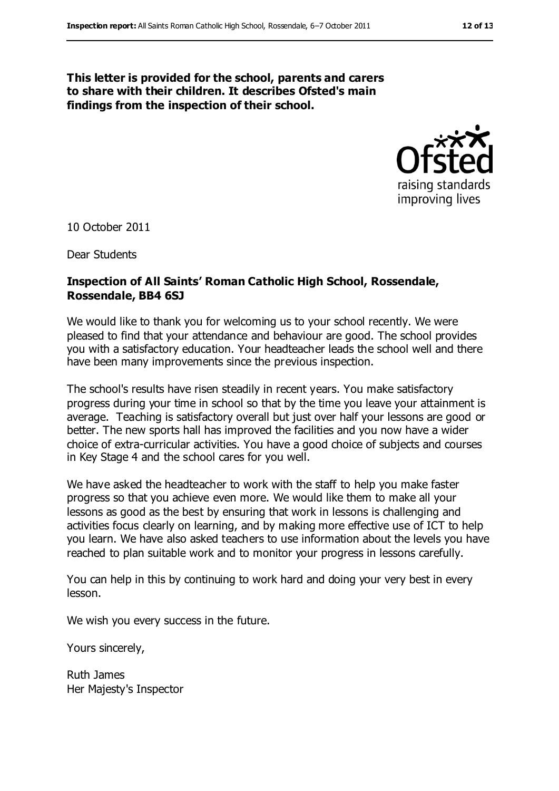#### **This letter is provided for the school, parents and carers to share with their children. It describes Ofsted's main findings from the inspection of their school.**



10 October 2011

Dear Students

#### **Inspection of All Saints' Roman Catholic High School, Rossendale, Rossendale, BB4 6SJ**

We would like to thank you for welcoming us to your school recently. We were pleased to find that your attendance and behaviour are good. The school provides you with a satisfactory education. Your headteacher leads the school well and there have been many improvements since the previous inspection.

The school's results have risen steadily in recent years. You make satisfactory progress during your time in school so that by the time you leave your attainment is average. Teaching is satisfactory overall but just over half your lessons are good or better. The new sports hall has improved the facilities and you now have a wider choice of extra-curricular activities. You have a good choice of subjects and courses in Key Stage 4 and the school cares for you well.

We have asked the headteacher to work with the staff to help you make faster progress so that you achieve even more. We would like them to make all your lessons as good as the best by ensuring that work in lessons is challenging and activities focus clearly on learning, and by making more effective use of ICT to help you learn. We have also asked teachers to use information about the levels you have reached to plan suitable work and to monitor your progress in lessons carefully.

You can help in this by continuing to work hard and doing your very best in every lesson.

We wish you every success in the future.

Yours sincerely,

Ruth James Her Majesty's Inspector